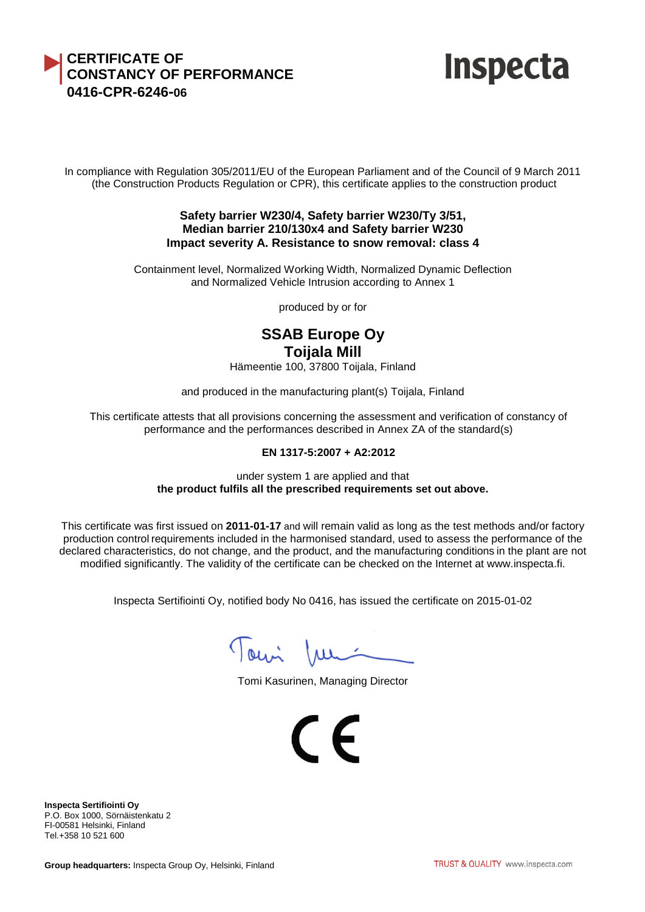## **CERTIFICATE OF CONSTANCY OF PERFORMANCE 0416-CPR-6246-06**



In compliance with Regulation 305/2011/EU of the European Parliament and of the Council of 9 March 2011 (the Construction Products Regulation or CPR), this certificate applies to the construction product

#### **Safety barrier W230/4, Safety barrier W230/Ty 3/51, Median barrier 210/130x4 and Safety barrier W230 Impact severity A. Resistance to snow removal: class 4**

Containment level, Normalized Working Width, Normalized Dynamic Deflection and Normalized Vehicle Intrusion according to Annex 1

produced by or for

# **SSAB Europe Oy Toijala Mill**

Hämeentie 100, 37800 Toijala, Finland

and produced in the manufacturing plant(s) Toijala, Finland

This certificate attests that all provisions concerning the assessment and verification of constancy of performance and the performances described in Annex ZA of the standard(s)

#### **EN 1317-5:2007 + A2:2012**

under system 1 are applied and that **the product fulfils all the prescribed requirements set out above.**

This certificate was first issued on **2011-01-17** and will remain valid as long as the test methods and/or factory production control requirements included in the harmonised standard, used to assess the performance of the declared characteristics, do not change, and the product, and the manufacturing conditions in the plant are not modified significantly. The validity of the certificate can be checked on the Internet at www.inspecta.fi.

Inspecta Sertifiointi Oy, notified body No 0416, has issued the certificate on 2015-01-02

Tomi Jun

Tomi Kasurinen, Managing Director

 $\epsilon$ 

**Inspecta Sertifiointi Oy** P.O. Box 1000, Sörnäistenkatu 2 FI-00581 Helsinki, Finland Tel.+358 10 521 600